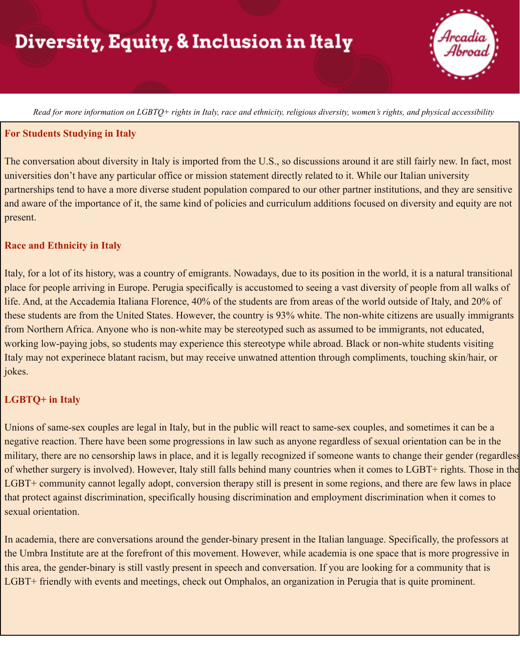# **Diversity, Equity, & Inclusion in Italy**

Read for more information on LGBTQ+ rights in Italy, race and ethnicity, religious diversity, women's rights, and physical accessibility

#### **For Students Studying in Italy**

The conversation about diversity in Italy is imported from the U.S., so discussions around it are still fairly new. In fact, most universities don't have any particular office or mission statement directly related to it. While our Italian university partnerships tend to have a more diverse student population compared to our other partner institutions, and they are sensitive and aware of the importance of it, the same kind of policies and curriculum additions focused on diversity and equity are not present.

### **Race and Ethnicity in Italy**

Italy, for a lot of its history, was a country of emigrants. Nowadays, due to its position in the world, it is a natural transitional place for people arriving in Europe. Perugia specifically is accustomed to seeing a vast diversity of people from all walks of life. And, at the Accademia Italiana Florence, 40% of the students are from areas of the world outside of Italy, and 20% of these students are from the United States. However, the country is 93% white. The non-white citizens are usually immigrants from Northern Africa. Anyone who is non-white may be stereotyped such as assumed to be immigrants, not educated, working low-paying jobs, so students may experience this stereotype while abroad. Black or non-white students visiting Italy may not experinece blatant racism, but may receive unwatned attention through compliments, touching skin/hair, or jokes.

### **LGBTQ+ in Italy**

Unions of same-sex couples are legal in Italy, but in the public will react to same-sex couples, and sometimes it can be a negative reaction. There have been some progressions in law such as anyone regardless of sexual orientation can be in the military, there are no censorship laws in place, and it is legally recognized if someone wants to change their gender (regardless of whether surgery is involved). However, Italy still falls behind many countries when it comes to LGBT+ rights. Those in the LGBT+ community cannot legally adopt, conversion therapy still is present in some regions, and there are few laws in place that protect against discrimination, specifically housing discrimination and employment discrimination when it comes to sexual orientation.

In academia, there are conversations around the gender-binary present in the Italian language. Specifically, the professors at the Umbra Institute are at the forefront of this movement. However, while academia is one space that is more progressive in this area, the gender-binary is still vastly present in speech and conversation. If you are looking for a community that is LGBT+ friendly with events and meetings, check out Omphalos, an organization in Perugia that is quite prominent.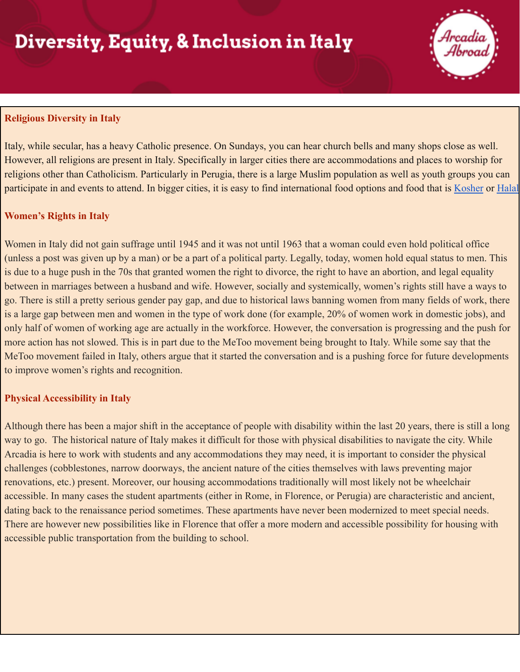# **Diversity, Equity, & Inclusion in Italy**



### **Religious Diversity in Italy**

Italy, while secular, has a heavy Catholic presence. On Sundays, you can hear church bells and many shops close as well. However, all religions are present in Italy. Specifically in larger cities there are accommodations and places to worship for religions other than Catholicism. Particularly in Perugia, there is a large Muslim population as well as youth groups you can participate in and events to attend. In bigger cities, it is easy to find international food options and food that is [Kosher](https://selectitaly.com/blog/florence/top-4-kosher-restaurants-florence/) or [Halal](https://www.yelp.com/search?find_desc=Halal&find_loc=Florence%2C+Firenze)

## **Women's Rights in Italy**

Women in Italy did not gain suffrage until 1945 and it was not until 1963 that a woman could even hold political office (unless a post was given up by a man) or be a part of a political party. Legally, today, women hold equal status to men. This is due to a huge push in the 70s that granted women the right to divorce, the right to have an abortion, and legal equality between in marriages between a husband and wife. However, socially and systemically, women's rights still have a ways to go. There is still a pretty serious gender pay gap, and due to historical laws banning women from many fields of work, there is a large gap between men and women in the type of work done (for example, 20% of women work in domestic jobs), and only half of women of working age are actually in the workforce. However, the conversation is progressing and the push for more action has not slowed. This is in part due to the MeToo movement being brought to Italy. While some say that the MeToo movement failed in Italy, others argue that it started the conversation and is a pushing force for future developments to improve women's rights and recognition.

## **Physical Accessibility in Italy**

Although there has been a major shift in the acceptance of people with disability within the last 20 years, there is still a long way to go. The historical nature of Italy makes it difficult for those with physical disabilities to navigate the city. While Arcadia is here to work with students and any accommodations they may need, it is important to consider the physical challenges (cobblestones, narrow doorways, the ancient nature of the cities themselves with laws preventing major renovations, etc.) present. Moreover, our housing accommodations traditionally will most likely not be wheelchair accessible. In many cases the student apartments (either in Rome, in Florence, or Perugia) are characteristic and ancient, dating back to the renaissance period sometimes. These apartments have never been modernized to meet special needs. There are however new possibilities like in Florence that offer a more modern and accessible possibility for housing with accessible public transportation from the building to school.